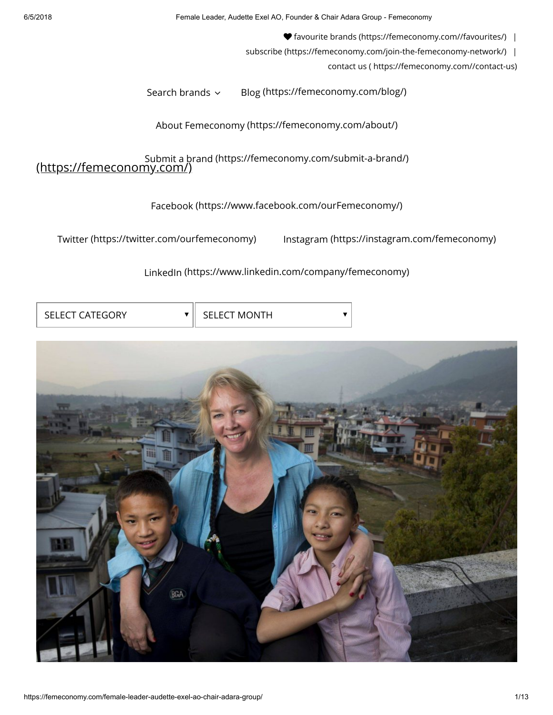6/5/2018 Female Leader, Audette Exel AO, Founder & Chair Adara Group - Femeconomy

 [favourite brands \(https://femeconomy.com//favourites/\)](https://femeconomy.com//favourites/) |

[subscribe \(https://femeconomy.com/join-the-femeconomy-network/\)](https://femeconomy.com/join-the-femeconomy-network/) |

[contact us \( https://femeconomy.com//contact-us\)](https://femeconomy.com//contact-us)

[Search brands](https://femeconomy.com/brand/)  $\sim$  [Blog \(https://femeconomy.com/blog/\)](https://femeconomy.com/blog/)

[About Femeconomy \(https://femeconomy.com/about/\)](https://femeconomy.com/about/)

(https://femeconomy.com/) [Submit a brand \(https://femeconomy.com/su](https://femeconomy.com/)[bmit-a-brand/\)](https://femeconomy.com/submit-a-brand/)

[Facebook \(https://www.facebook.com/ourFemeconomy/\)](https://www.facebook.com/ourFemeconomy/)

[Twitter \(https://twitter.com/ourfemeconomy\)](https://twitter.com/ourfemeconomy) [Instagram \(https://instagram.com/femeconomy\)](https://instagram.com/femeconomy)

[LinkedIn \(https://www.linkedin.com/company/femeconomy\)](https://www.linkedin.com/company/femeconomy)

| <b>SELECT CATEGORY</b> | <b>SELECT MONTH</b> |
|------------------------|---------------------|
|                        |                     |

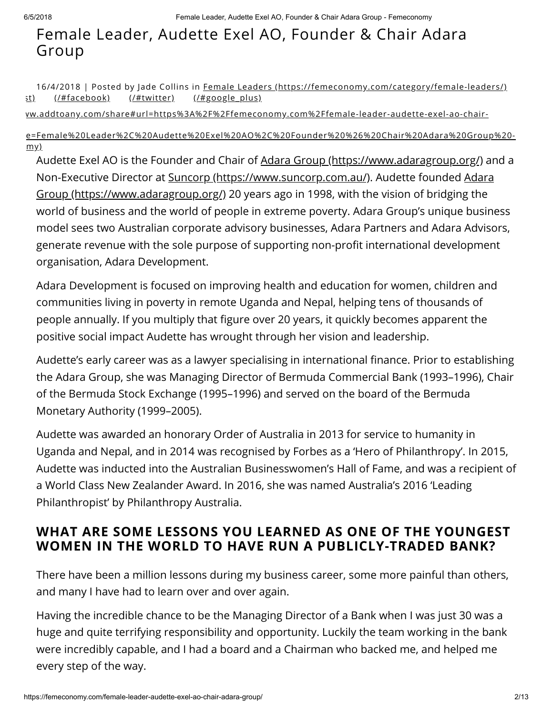# Female Leader, Audette Exel AO, Founder & Chair Adara Group

[st\)](https://femeconomy.com/#pinterest) [\(/#facebook\)](https://femeconomy.com/#facebook) [\(/#twitter\)](https://femeconomy.com/#twitter) [\(/#google\\_plus\)](https://femeconomy.com/#google_plus) 16/4/2018 | Posted by Jade Collins in Female Leaders [\(https://femeconomy.com/category/female-leaders/\)](https://femeconomy.com/category/female-leaders/)

ww.addtoany.com/share#url=https%3A%2F%2Ffemeconomy.com%2Ffemale-leader-audette-exel-ao-chair-

[e=Female%20Leader%2C%20Audette%20Exel%20AO%2C%20Founder%20%26%20Chair%20Adara%20Group%20](https://www.addtoany.com/share#url=https%3A%2F%2Ffemeconomy.com%2Ffemale-leader-audette-exel-ao-chair-adara-group%2F&title=Female%20Leader%2C%20Audette%20Exel%20AO%2C%20Founder%20%26%20Chair%20Adara%20Group%20-%20Femeconomy)  $my)$ 

Audette Exel AO is the Founder and Chair of [Adara Group \(https://www.adaragroup.org/\)](https://www.adaragroup.org/) and a [Non-Executive Director at](https://www.adaragroup.org/) [Suncorp \(https://www.suncorp.com.au/\)](https://www.suncorp.com.au/)[. Audette founded Adara](https://www.adaragroup.org/) Group (https://www.adaragroup.org/) 20 years ago in 1998, with the vision of bridging the world of business and the world of people in extreme poverty. Adara Group's unique business model sees two Australian corporate advisory businesses, Adara Partners and Adara Advisors, generate revenue with the sole purpose of supporting non-profit international development organisation, Adara Development.

Adara Development is focused on improving health and education for women, children and communities living in poverty in remote Uganda and Nepal, helping tens of thousands of people annually. If you multiply that figure over 20 years, it quickly becomes apparent the positive social impact Audette has wrought through her vision and leadership.

Audette's early career was as a lawyer specialising in international finance. Prior to establishing the Adara Group, she was Managing Director of Bermuda Commercial Bank (1993–1996), Chair of the Bermuda Stock Exchange (1995–1996) and served on the board of the Bermuda Monetary Authority (1999–2005).

Audette was awarded an honorary Order of Australia in 2013 for service to humanity in Uganda and Nepal, and in 2014 was recognised by Forbes as a 'Hero of Philanthropy'. In 2015, Audette was inducted into the Australian Businesswomen's Hall of Fame, and was a recipient of a World Class New Zealander Award. In 2016, she was named Australia's 2016 'Leading Philanthropist' by Philanthropy Australia.

## WHAT ARE SOME LESSONS YOU LEARNED AS ONE OF THE YOUNGEST WOMEN IN THE WORLD TO HAVE RUN A PUBLICLY-TRADED BANK?

There have been a million lessons during my business career, some more painful than others, and many I have had to learn over and over again.

Having the incredible chance to be the Managing Director of a Bank when I was just 30 was a huge and quite terrifying responsibility and opportunity. Luckily the team working in the bank were incredibly capable, and I had a board and a Chairman who backed me, and helped me every step of the way.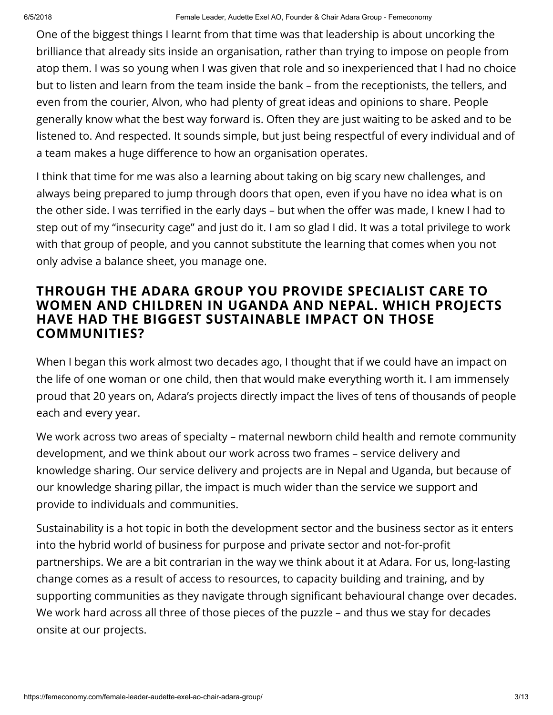One of the biggest things I learnt from that time was that leadership is about uncorking the brilliance that already sits inside an organisation, rather than trying to impose on people from atop them. I was so young when I was given that role and so inexperienced that I had no choice but to listen and learn from the team inside the bank – from the receptionists, the tellers, and even from the courier, Alvon, who had plenty of great ideas and opinions to share. People generally know what the best way forward is. Often they are just waiting to be asked and to be listened to. And respected. It sounds simple, but just being respectful of every individual and of a team makes a huge difference to how an organisation operates.

I think that time for me was also a learning about taking on big scary new challenges, and always being prepared to jump through doors that open, even if you have no idea what is on the other side. I was terrified in the early days – but when the offer was made, I knew I had to step out of my "insecurity cage" and just do it. I am so glad I did. It was a total privilege to work with that group of people, and you cannot substitute the learning that comes when you not only advise a balance sheet, you manage one.

### THROUGH THE ADARA GROUP YOU PROVIDE SPECIALIST CARE TO WOMEN AND CHILDREN IN UGANDA AND NEPAL. WHICH PROJECTS HAVE HAD THE BIGGEST SUSTAINABLE IMPACT ON THOSE COMMUNITIES?

When I began this work almost two decades ago, I thought that if we could have an impact on the life of one woman or one child, then that would make everything worth it. I am immensely proud that 20 years on, Adara's projects directly impact the lives of tens of thousands of people each and every year.

We work across two areas of specialty – maternal newborn child health and remote community development, and we think about our work across two frames – service delivery and knowledge sharing. Our service delivery and projects are in Nepal and Uganda, but because of our knowledge sharing pillar, the impact is much wider than the service we support and provide to individuals and communities.

Sustainability is a hot topic in both the development sector and the business sector as it enters into the hybrid world of business for purpose and private sector and not-for-profit partnerships. We are a bit contrarian in the way we think about it at Adara. For us, long-lasting change comes as a result of access to resources, to capacity building and training, and by supporting communities as they navigate through significant behavioural change over decades. We work hard across all three of those pieces of the puzzle – and thus we stay for decades onsite at our projects.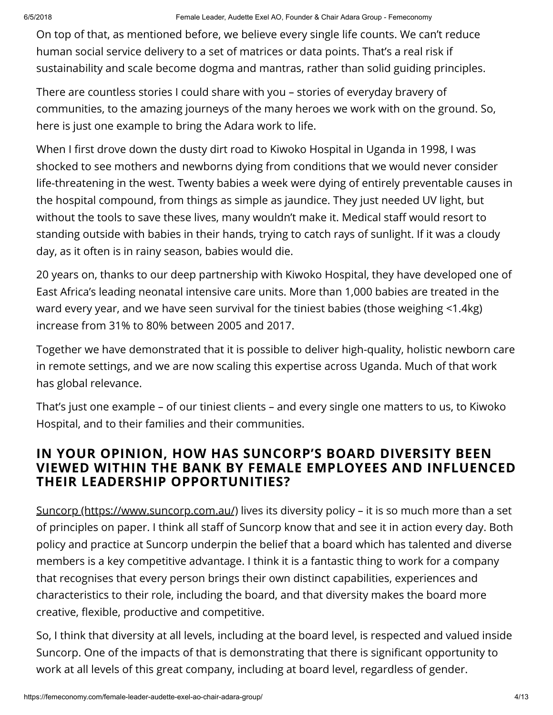On top of that, as mentioned before, we believe every single life counts. We can't reduce human social service delivery to a set of matrices or data points. That's a real risk if sustainability and scale become dogma and mantras, rather than solid guiding principles.

There are countless stories I could share with you – stories of everyday bravery of communities, to the amazing journeys of the many heroes we work with on the ground. So, here is just one example to bring the Adara work to life.

When I first drove down the dusty dirt road to Kiwoko Hospital in Uganda in 1998, I was shocked to see mothers and newborns dying from conditions that we would never consider life-threatening in the west. Twenty babies a week were dying of entirely preventable causes in the hospital compound, from things as simple as jaundice. They just needed UV light, but without the tools to save these lives, many wouldn't make it. Medical staff would resort to standing outside with babies in their hands, trying to catch rays of sunlight. If it was a cloudy day, as it often is in rainy season, babies would die.

20 years on, thanks to our deep partnership with Kiwoko Hospital, they have developed one of East Africa's leading neonatal intensive care units. More than 1,000 babies are treated in the ward every year, and we have seen survival for the tiniest babies (those weighing <1.4kg) increase from 31% to 80% between 2005 and 2017.

Together we have demonstrated that it is possible to deliver high-quality, holistic newborn care in remote settings, and we are now scaling this expertise across Uganda. Much of that work has global relevance.

That's just one example – of our tiniest clients – and every single one matters to us, to Kiwoko Hospital, and to their families and their communities.

## IN YOUR OPINION, HOW HAS SUNCORP'S BOARD DIVERSITY BEEN VIEWED WITHIN THE BANK BY FEMALE EMPLOYEES AND INFLUENCED THEIR LEADERSHIP OPPORTUNITIES?

[Suncorp \(https://www.suncorp.com.au/\)](https://www.suncorp.com.au/) lives its diversity policy – it is so much more than a set of principles on paper. I think all staff of Suncorp know that and see it in action every day. Both policy and practice at Suncorp underpin the belief that a board which has talented and diverse members is a key competitive advantage. I think it is a fantastic thing to work for a company that recognises that every person brings their own distinct capabilities, experiences and characteristics to their role, including the board, and that diversity makes the board more creative, flexible, productive and competitive.

So, I think that diversity at all levels, including at the board level, is respected and valued inside Suncorp. One of the impacts of that is demonstrating that there is significant opportunity to work at all levels of this great company, including at board level, regardless of gender.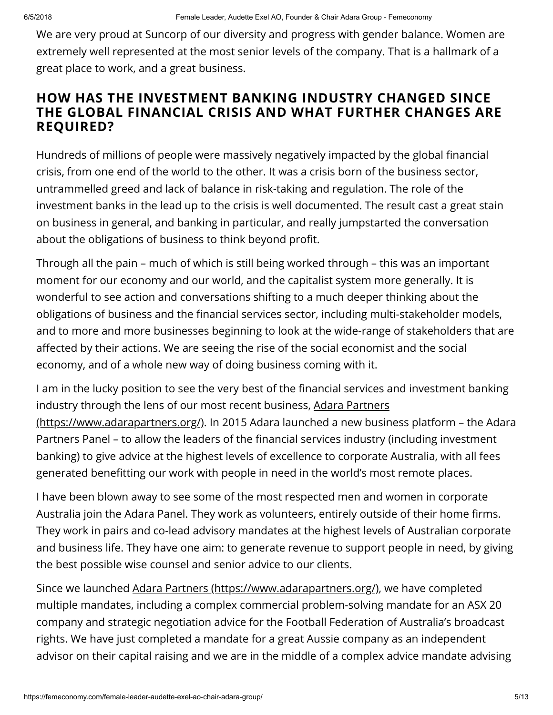We are very proud at Suncorp of our diversity and progress with gender balance. Women are extremely well represented at the most senior levels of the company. That is a hallmark of a great place to work, and a great business.

### HOW HAS THE INVESTMENT BANKING INDUSTRY CHANGED SINCE THE GLOBAL FINANCIAL CRISIS AND WHAT FURTHER CHANGES ARE REQUIRED?

Hundreds of millions of people were massively negatively impacted by the global financial crisis, from one end of the world to the other. It was a crisis born of the business sector, untrammelled greed and lack of balance in risk-taking and regulation. The role of the investment banks in the lead up to the crisis is well documented. The result cast a great stain on business in general, and banking in particular, and really jumpstarted the conversation about the obligations of business to think beyond profit.

Through all the pain – much of which is still being worked through – this was an important moment for our economy and our world, and the capitalist system more generally. It is wonderful to see action and conversations shifting to a much deeper thinking about the obligations of business and the financial services sector, including multi-stakeholder models, and to more and more businesses beginning to look at the wide-range of stakeholders that are affected by their actions. We are seeing the rise of the social economist and the social economy, and of a whole new way of doing business coming with it.

I am in the lucky position to see the very best of the financial services and investment banking industry through the lens of our most recent business, Adara Partners [\(https://www.adarapartners.org/\). In 2015 Adara launched a new busin](https://www.adarapartners.org/)ess platform – the Adara Partners Panel – to allow the leaders of the financial services industry (including investment banking) to give advice at the highest levels of excellence to corporate Australia, with all fees generated benefitting our work with people in need in the world's most remote places.

I have been blown away to see some of the most respected men and women in corporate Australia join the Adara Panel. They work as volunteers, entirely outside of their home firms. They work in pairs and co-lead advisory mandates at the highest levels of Australian corporate and business life. They have one aim: to generate revenue to support people in need, by giving the best possible wise counsel and senior advice to our clients.

Since we launched [Adara Partners \(https://www.adarapartners.org/\),](https://www.adarapartners.org/) we have completed multiple mandates, including a complex commercial problem-solving mandate for an ASX 20 company and strategic negotiation advice for the Football Federation of Australia's broadcast rights. We have just completed a mandate for a great Aussie company as an independent advisor on their capital raising and we are in the middle of a complex advice mandate advising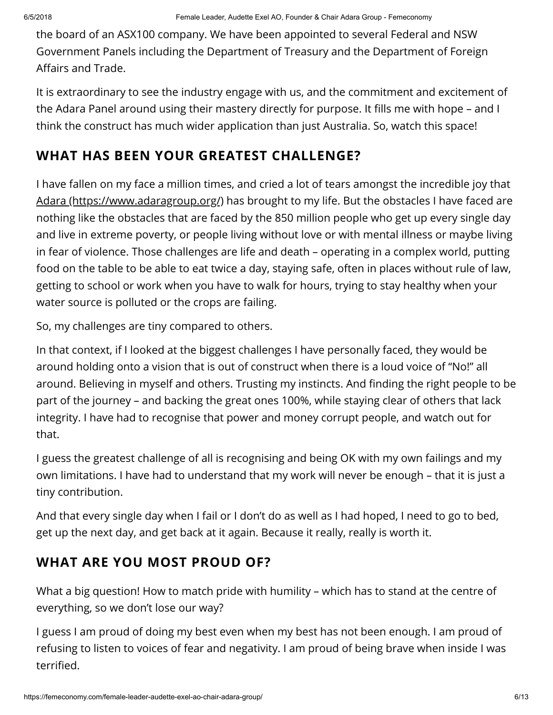the board of an ASX100 company. We have been appointed to several Federal and NSW Government Panels including the Department of Treasury and the Department of Foreign Affairs and Trade.

It is extraordinary to see the industry engage with us, and the commitment and excitement of the Adara Panel around using their mastery directly for purpose. It fills me with hope – and I think the construct has much wider application than just Australia. So, watch this space!

## WHAT HAS BEEN YOUR GREATEST CHALLENGE?

I have fallen on my face a million times, and cried a lot of tears amongst the incredible joy that [Adara \(https://www.adaragroup.org/\)](https://www.adaragroup.org/) has brought to my life. But the obstacles I have faced are nothing like the obstacles that are faced by the 850 million people who get up every single day and live in extreme poverty, or people living without love or with mental illness or maybe living in fear of violence. Those challenges are life and death – operating in a complex world, putting food on the table to be able to eat twice a day, staying safe, often in places without rule of law, getting to school or work when you have to walk for hours, trying to stay healthy when your water source is polluted or the crops are failing.

So, my challenges are tiny compared to others.

In that context, if I looked at the biggest challenges I have personally faced, they would be around holding onto a vision that is out of construct when there is a loud voice of "No!" all around. Believing in myself and others. Trusting my instincts. And finding the right people to be part of the journey – and backing the great ones 100%, while staying clear of others that lack integrity. I have had to recognise that power and money corrupt people, and watch out for that.

I guess the greatest challenge of all is recognising and being OK with my own failings and my own limitations. I have had to understand that my work will never be enough – that it is just a tiny contribution.

And that every single day when I fail or I don't do as well as I had hoped, I need to go to bed, get up the next day, and get back at it again. Because it really, really is worth it.

## WHAT ARE YOU MOST PROUD OF?

What a big question! How to match pride with humility – which has to stand at the centre of everything, so we don't lose our way?

I guess I am proud of doing my best even when my best has not been enough. I am proud of refusing to listen to voices of fear and negativity. I am proud of being brave when inside I was terrified.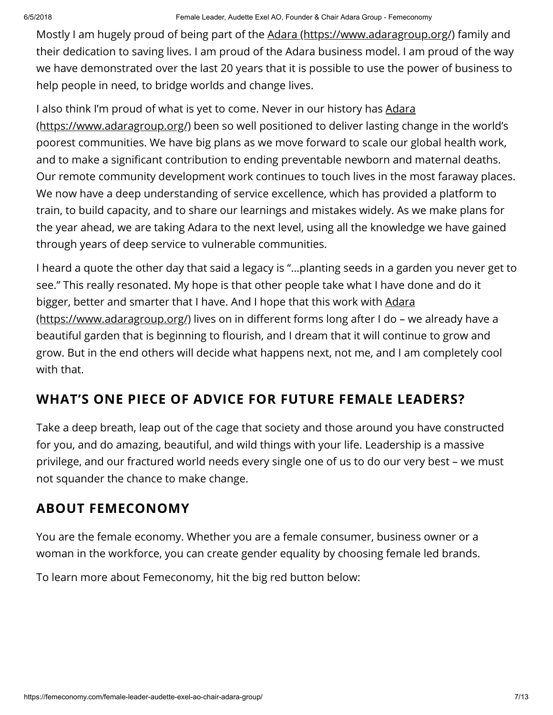Mostly I am hugely proud of being part of the [Adara \(https://www.adaragroup.org/\)](https://www.adaragroup.org/) family and their dedication to saving lives. I am proud of the Adara business model. I am proud of the way we have demonstrated over the last 20 years that it is possible to use the power of business to help people in need, to bridge worlds and change lives.

[I also think I'm proud of what is yet to come. Never in our history has Adara](https://www.adaragroup.org/) (https://www.adaragroup.org/) been so well positioned to deliver lasting change in the world's poorest communities. We have big plans as we move forward to scale our global health work, and to make a significant contribution to ending preventable newborn and maternal deaths. Our remote community development work continues to touch lives in the most faraway places. We now have a deep understanding of service excellence, which has provided a platform to train, to build capacity, and to share our learnings and mistakes widely. As we make plans for the year ahead, we are taking Adara to the next level, using all the knowledge we have gained through years of deep service to vulnerable communities.

I heard a quote the other day that said a legacy is "…planting seeds in a garden you never get to see." This really resonated. My hope is that other people take what I have done and do it bigger, better and smarter that I have. And I hope that this work with Adara (https://www.adaragroup.org/) lives on in different forms long after I do - we already have a beautiful garden that is beginning to flourish, and I dream that it will continue to grow and grow. But in the end others will decide what happens next, not me, and I am completely cool with that.

## WHAT'S ONE PIECE OF ADVICE FOR FUTURE FEMALE LEADERS?

Take a deep breath, leap out of the cage that society and those around you have constructed for you, and do amazing, beautiful, and wild things with your life. Leadership is a massive privilege, and our fractured world needs every single one of us to do our very best – we must not squander the chance to make change.

## ABOUT FEMECONOMY

You are the female economy. Whether you are a female consumer, business owner or a woman in the workforce, you can create gender equality by choosing female led brands.

To learn more about Femeconomy, hit the big red button below: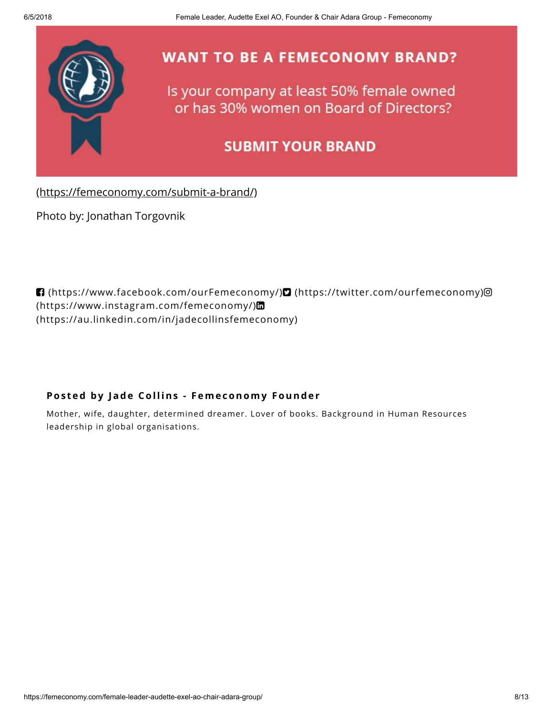

[\(https://femeconomy.com/submit-a-brand/\)](https://femeconomy.com/submit-a-brand/)

Photo by: Jonathan Torgovnik

 [\(https://www.facebook.com/ourFemeconomy/\)](https://www.facebook.com/ourFemeconomy/) [\(https://twitter.com/ourfemeconomy\)](https://twitter.com/ourfemeconomy) (https://www.instagram.com/femeconomy/) [\(https://au.linkedin.com/in/jadecollinsfemeconomy\)](https://au.linkedin.com/in/jadecollinsfemeconomy)

### Posted by Jade Collins - Femeconomy Founder

Mother, wife, daughter, determined dreamer. Lover of books. Background in Human Resources leadership in global organisations.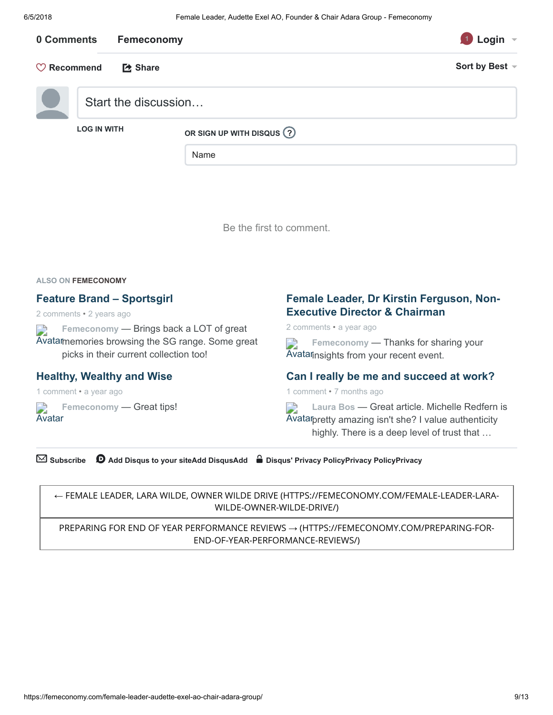| 0 Comments                                | Femeconomy           |                                    | Login               |
|-------------------------------------------|----------------------|------------------------------------|---------------------|
| $\heartsuit$ Recommend<br><b>【2 Share</b> |                      |                                    | Sort by Best $\sim$ |
|                                           | Start the discussion |                                    |                     |
|                                           | <b>LOG IN WITH</b>   | OR SIGN UP WITH DISQUS (?)<br>Name |                     |

Be the first to comment.

ALSO ON FEMECONOMY

#### Feature Brand – Sportsgirl

2 comments • 2 years ago

Femeconomy — Brings back a LOT of great D Avatar [memories browsing the SG range. Some great](https://disq.us/?url=https%3A%2F%2Ffemeconomy.com.au%2Ffeature-brand-sportsgirl%2F&key=JxRm3IE28EmRceSf0V48Vg) picks in their current collection too!

#### [Healthy, Wealthy and Wise](https://disq.us/?url=https%3A%2F%2Ffemeconomy.com%2Fhealthy-wealthy-and-wise%2F&key=J-Pf_MXfvprxR7xRD0o4Ag)

1 comment • a year ago

**Avatar** [Femeconomy](https://disq.us/?url=https%3A%2F%2Ffemeconomy.com%2Fhealthy-wealthy-and-wise%2F&key=J-Pf_MXfvprxR7xRD0o4Ag) — Great tips!

### [Female Leader, Dr Kirstin Ferguson, Non-](https://disq.us/?url=https%3A%2F%2Ffemeconomy.com%2Ffemale-leader-dr-kirstin-ferguson-board-director-abc%2F&key=xd3ib-HaEp7vpGvZQcvyeA)Executive Director & Chairman

2 comments • a year ago

Femeconomy — Thanks for sharing your  $\Box$ Avatar [insights from your recent event.](https://disq.us/?url=https%3A%2F%2Ffemeconomy.com%2Ffemale-leader-dr-kirstin-ferguson-board-director-abc%2F&key=xd3ib-HaEp7vpGvZQcvyeA)

#### [Can I really be me and succeed at work?](https://disq.us/?url=https%3A%2F%2Ffemeconomy.com%2Fcan-i-really-be-me-and-succeed-at-work%2F&key=pEgG6aDaEqLhLKGlX4Ix1Q)

1 comment • 7 months ago

D Laura Bos — Great article. Michelle Redfern is Avatar [pretty amazing isn't she? I value authenticity](https://disq.us/?url=https%3A%2F%2Ffemeconomy.com%2Fcan-i-really-be-me-and-succeed-at-work%2F&key=pEgG6aDaEqLhLKGlX4Ix1Q) highly. There is a deep level of trust that …

 $\boxtimes$  Subscribe  $\bullet$  [Add Disqus to your siteAdd DisqusAdd](https://publishers.disqus.com/engage?utm_source=femeconomy&utm_medium=Disqus-Footer)  $\bullet$  [Disqus' Privacy PolicyPrivacy PolicyPrivacy](https://disqus.com/)

← [FEMALE LEADER, LARA WILDE, OWNER WILDE DRIVE \(HTTPS://FEMECONOMY.COM/FEMALE-LEADER-LARA-](https://femeconomy.com/female-leader-lara-wilde-owner-wilde-drive/)WILDE-OWNER-WILDE-DRIVE/)

[PREPARING FOR END OF YEAR PERFORMANCE REVIEWS](https://femeconomy.com/preparing-for-end-of-year-performance-reviews/) → (HTTPS://FEMECONOMY.COM/PREPARING-FOR-END-OF-YEAR-PERFORMANCE-REVIEWS/)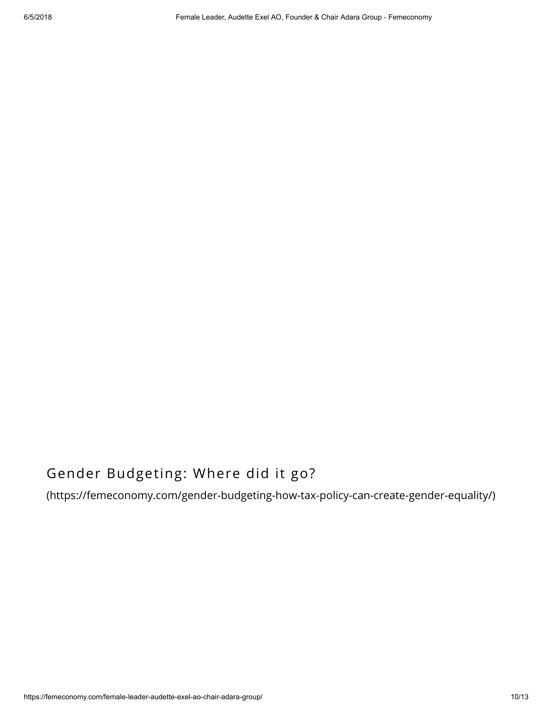## Gender Budgeting: Where did it go?

[\(https://femeconomy.com/gender-budgeting-how-tax-policy-can-create-gender-equality/\)](https://femeconomy.com/gender-budgeting-how-tax-policy-can-create-gender-equality/)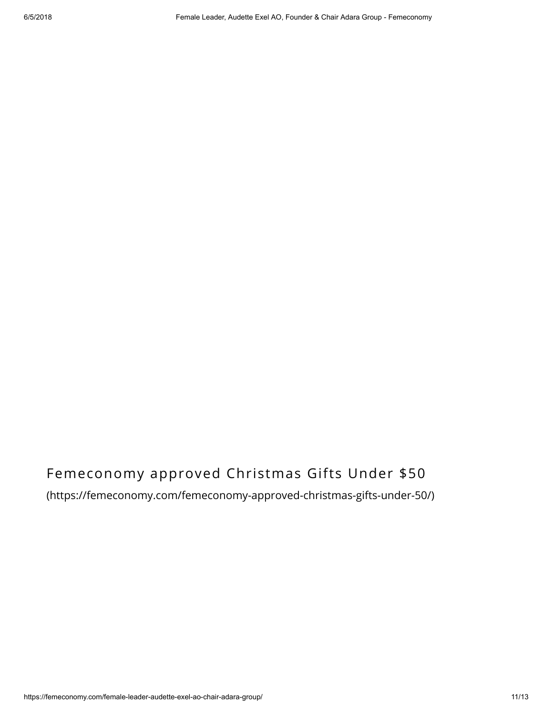# Femeconomy approved Christmas Gifts Under \$50

### [\(https://femeconomy.com/femeconomy-approved-christmas-gifts-under-50/\)](https://femeconomy.com/femeconomy-approved-christmas-gifts-under-50/)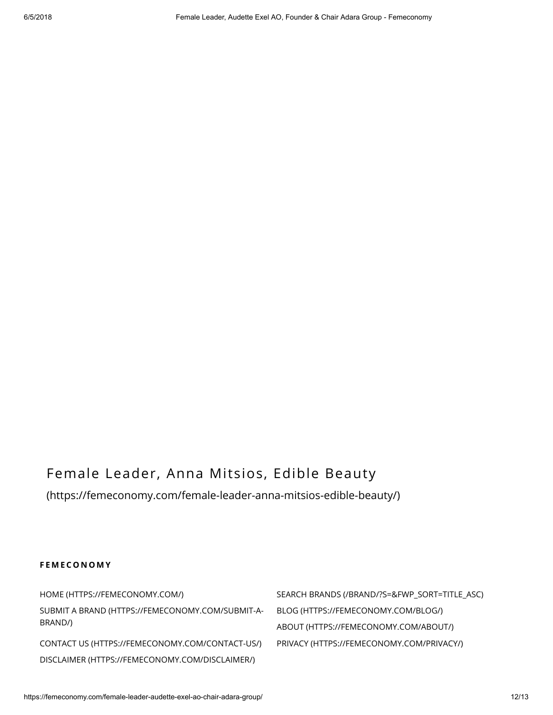## Female Leader, Anna Mitsios, Edible Beauty

[\(https://femeconomy.com/female-leader-anna-mitsios-edible-beauty/\)](https://femeconomy.com/female-leader-anna-mitsios-edible-beauty/)

#### **FEMECONOMY**

[HOME \(HTTPS://FEMECONOMY.COM/\)](https://femeconomy.com/) [SEARCH BRANDS \(/BRAND/?S=&FWP\\_SORT=TITLE\\_ASC\)](https://femeconomy.com/brand/?s=&fwp_sort=title_asc) [SUBMIT A BRAND \(HTTPS://FEMECONOMY.COM/SUBMIT-A-](https://femeconomy.com/submit-a-brand/)BRAND/) [CONTACT US \(HTTPS://FEMECONOMY.COM/CONTACT-US/\)](https://femeconomy.com/contact-us/) [PRIVACY \(HTTPS://FEMECONOMY.COM/PRIVACY/\)](https://femeconomy.com/privacy/) [DISCLAIMER \(HTTPS://FEMECONOMY.COM/DISCLAIMER/\)](https://femeconomy.com/disclaimer/)

[BLOG \(HTTPS://FEMECONOMY.COM/BLOG/\)](https://femeconomy.com/blog/) [ABOUT \(HTTPS://FEMECONOMY.COM/ABOUT/\)](https://femeconomy.com/about/)